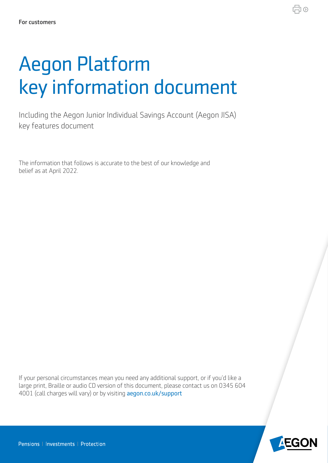# Aegon Platform key information document

Including the Aegon Junior Individual Savings Account (Aegon JISA) key features document

The information that follows is accurate to the best of our knowledge and belief as at April 2022.

If your personal circumstances mean you need any additional support, or if you'd like a large print, Braille or audio CD version of this document, please contact us on 0345 604 4001 (call charges will vary) or by visiting aegon.co.uk/support



♬⊙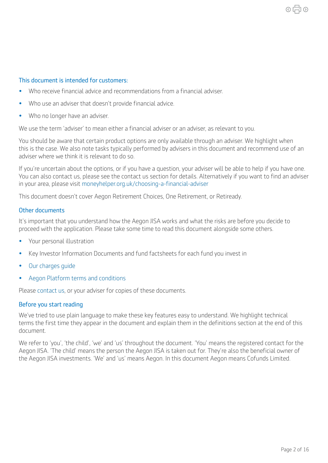#### This document is intended for customers:

- Who receive financial advice and recommendations from a financial adviser.
- Who use an adviser that doesn't provide fnancial advice.
- Who no longer have an adviser.

We use the term 'adviser' to mean either a financial adviser or an adviser, as relevant to you.

You should be aware that certain product options are only available through an adviser. We highlight when this is the case. We also note tasks typically performed by advisers in this document and recommend use of an adviser where we think it is relevant to do so.

If you're uncertain about the options, or if you have a question, your adviser will be able to help if you have one. You can also contact us, please see the contact us section for details. Alternatively if you want to find an adviser in your area, please visit [moneyhelper.org.uk/choosing-a-fnancial-adviser](https://www.moneyhelper.org.uk/choosing-a-financial-adviser)

This document doesn't cover Aegon Retirement Choices, One Retirement, or Retiready.

#### Other documents

It's important that you understand how the Aegon JISA works and what the risks are before you decide to proceed with the application. Please take some time to read this document alongside some others.

- Your personal illustration
- Key Investor Information Documents and fund factsheets for each fund you invest in
- [Our charges guide](https://customerdashboard.aegon.co.uk/content/dam/common/documents/aegon-isa-gia-charges-guide.pdf )
- [Aegon Platform terms and conditions](https://customerdashboard.aegon.co.uk/content/dam/documents/aegon-platform-terms-and-conditions.pdf)

Please [contact us,](https://customerdashboard.aegon.co.uk/content/help-and-support.html?tab=customer-services) or your adviser for copies of these documents.

#### Before you start reading

We've tried to use plain language to make these key features easy to understand. We highlight technical terms the first time they appear in the document and explain them in the definitions section at the end of this document.

We refer to 'you', 'the child', 'we' and 'us' throughout the document. 'You' means the registered contact for the Aegon JISA. 'The child' means the person the Aegon JISA is taken out for. They're also the beneficial owner of the Aegon JISA investments. 'We' and 'us' means Aegon. In this document Aegon means Cofunds Limited.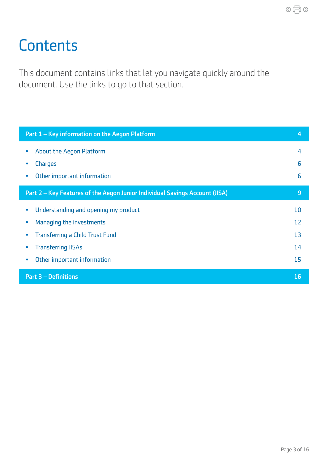## <span id="page-2-0"></span>**Contents**

This document contains links that let you navigate quickly around the document. Use the links to go to that section.

| Part 1 - Key information on the Aegon Platform                              | 4              |
|-----------------------------------------------------------------------------|----------------|
| <b>About the Aegon Platform</b>                                             | $\overline{4}$ |
| <b>Charges</b>                                                              | 6              |
| Other important information                                                 | 6              |
| Part 2 - Key Features of the Aegon Junior Individual Savings Account (JISA) | 9              |
| Understanding and opening my product                                        | 10             |
| Managing the investments                                                    | 12             |
| <b>Transferring a Child Trust Fund</b>                                      | 13             |
| <b>Transferring JISAs</b>                                                   | 14             |
| Other important information                                                 | 15             |
| <b>Part 3 - Definitions</b>                                                 | 16             |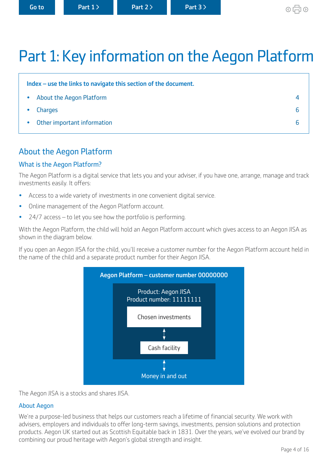## <span id="page-3-0"></span>Part 1: Key information on the Aegon Platform

| Index – use the links to navigate this section of the document. |  |
|-----------------------------------------------------------------|--|
| • About the Aegon Platform                                      |  |
| Charges<br>$\bullet$                                            |  |
| • Other important information                                   |  |

## About the Aegon Platform

#### What is the Aegon Platform?

The Aegon Platform is a digital service that lets you and your adviser, if you have one, arrange, manage and track investments easily. It offers:

- Access to a wide variety of investments in one convenient digital service.
- Online management of the Aegon Platform account.
- 24/7 access to let you see how the portfolio is performing.

With the Aegon Platform, the child will hold an Aegon Platform account which gives access to an Aegon JISA as shown in the diagram below.

If you open an Aegon JISA for the child, you'll receive a customer number for the Aegon Platform account held in the name of the child and a separate product number for their Aegon JISA.



The Aegon JISA is a stocks and shares JISA.

#### About Aegon

We're a purpose-led business that helps our customers reach a lifetime of financial security. We work with advisers, employers and individuals to offer long-term savings, investments, pension solutions and protection products. Aegon UK started out as Scottish Equitable back in 1831. Over the years, we've evolved our brand by combining our proud heritage with Aegon's global strength and insight.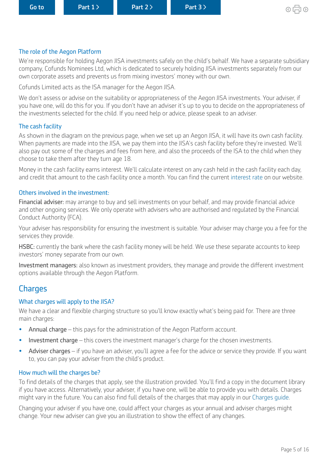#### The role of the Aegon Platform

We're responsible for holding Aegon JISA investments safely on the child's behalf. We have a separate subsidiary company, Cofunds Nominees Ltd, which is dedicated to securely holding JISA investments separately from our own corporate assets and prevents us from mixing investors' money with our own.

Cofunds Limited acts as the ISA manager for the Aegon JISA.

We don't assess or advise on the suitability or appropriateness of the Aegon JISA investments. Your adviser, if you have one, will do this for you. If you don't have an adviser it's up to you to decide on the appropriateness of the investments selected for the child. If you need help or advice, please speak to an adviser.

#### The cash facility

As shown in the diagram on the previous page, when we set up an Aegon JISA, it will have its own cash facility. When payments are made into the JISA, we pay them into the JISA's cash facility before they're invested. We'll also pay out some of the charges and fees from here, and also the proceeds of the ISA to the child when they choose to take them after they turn age 18.

Money in the cash facility earns interest. We'll calculate interest on any cash held in the cash facility each day, and credit that amount to the cash facility once a month. You can find the current [interest rate](https://customerdashboard.aegon.co.uk/content/help-and-support.html?tab=faqs#what-rate-of-interest-is-payable-on-cash-in-my-isa-cash-facility) on our website.

#### Others involved in the investment:

Financial adviser: may arrange to buy and sell investments on your behalf, and may provide fnancial advice and other ongoing services. We only operate with advisers who are authorised and regulated by the Financial Conduct Authority (FCA).

Your adviser has responsibility for ensuring the investment is suitable. Your adviser may charge you a fee for the services they provide.

HSBC: currently the bank where the cash facility money will be held. We use these separate accounts to keep investors' money separate from our own.

Investment managers: also known as investment providers, they manage and provide the diferent investment options available through the Aegon Platform.

### **Charges**

#### What charges will apply to the JISA?

We have a clear and flexible charging structure so you'll know exactly what's being paid for. There are three main charges:

- Annual charge this pays for the administration of the Aegon Platform account.
- Investment charge this covers the investment manager's charge for the chosen investments.
- Adviser charges if you have an adviser, you'll agree a fee for the advice or service they provide. If you want to, you can pay your adviser from the child's product.

#### How much will the charges be?

To find details of the charges that apply, see the illustration provided. You'll find a copy in the document library if you have access. Alternatively, your adviser, if you have one, will be able to provide you with details. Charges might vary in the future. You can also find full details of the charges that may apply in our Charges quide.

Changing your adviser if you have one, could affect your charges as your annual and adviser charges might change. Your new adviser can give you an illustration to show the effect of any changes.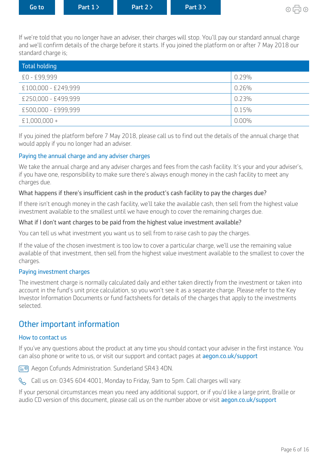<span id="page-5-0"></span>

| <b>Go to</b> ' | Part $1$ | Part $2 \nightharpoonup$ | Part 3 |
|----------------|----------|--------------------------|--------|
|                |          |                          |        |

If we're told that you no longer have an adviser, their charges will stop. You'll pay our standard annual charge and we'll confirm details of the charge before it starts. If you joined the platform on or after 7 May 2018 our standard charge is;

| Total holding       |          |
|---------------------|----------|
| £0 - £99,999        | 0.29%    |
| £100,000 - £249,999 | 0.26%    |
| £250,000 - £499,999 | 0.23%    |
| £500,000 - £999,999 | 0.15%    |
| $£1,000,000+$       | $0.00\%$ |

If you joined the platform before 7 May 2018, please call us to find out the details of the annual charge that would apply if you no longer had an adviser.

#### Paying the annual charge and any adviser charges

We take the annual charge and any adviser charges and fees from the cash facility. It's your and your adviser's, if you have one, responsibility to make sure there's always enough money in the cash facility to meet any charges due.

#### What happens if there's insufficient cash in the product's cash facility to pay the charges due?

If there isn't enough money in the cash facility, we'll take the available cash, then sell from the highest value investment available to the smallest until we have enough to cover the remaining charges due.

#### What if I don't want charges to be paid from the highest value investment available?

You can tell us what investment you want us to sell from to raise cash to pay the charges.

If the value of the chosen investment is too low to cover a particular charge, we'll use the remaining value available of that investment, then sell from the highest value investment available to the smallest to cover the charges.

#### Paying investment charges

The investment charge is normally calculated daily and either taken directly from the investment or taken into account in the fund's unit price calculation, so you won't see it as a separate charge. Please refer to the Key Investor Information Documents or fund factsheets for details of the charges that apply to the investments selected.

### Other important information

#### How to contact us

If you've any questions about the product at any time you should contact your adviser in the first instance. You can also phone or write to us, or visit our support and contact pages at aegon.co.uk/support

Aegon Cofunds Administration. Sunderland SR43 4DN.



If your personal circumstances mean you need any additional support, or if you'd like a large print, Braille or audio CD version of this document, please call us on the number above or visit aegon.co.uk/support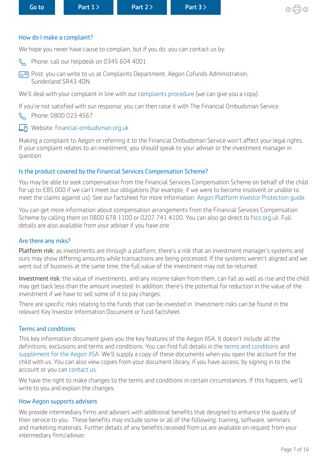#### <span id="page-6-0"></span>How do I make a complaint?

We hope you never have cause to complain, but if you do, you can contact us by:

R Phone: call our helpdesk on 0345 604 4001

Post: you can write to us at Complaints Department, Aegon Cofunds Administration, Sunderland SR43 4DN.

We'll deal with your complaint in line with our [complaints procedure](https://www.aegon.co.uk/content/dam/ukpaw/documents/complaints-procedure.pdf) (we can give you a copy).

If you're not satisfed with our response, you can then raise it with The Financial Ombudsman Service.

**R** Phone: 0800 023 4567.

#### Ln Website: financial-ombudsman.org.uk

Making a complaint to Aegon or referring it to the Financial Ombudsman Service won't affect your legal rights. If your complaint relates to an investment, you should speak to your adviser or the investment manager in question.

#### Is the product covered by the Financial Services Compensation Scheme?

You may be able to seek compensation from the Financial Services Compensation Scheme on behalf of the child for up to £85,000 if we can't meet our obligations (for example, if we were to become insolvent or unable to meet the claims against us). See our factsheet for more information: [Aegon Platform Investor Protection guide.](https://www.cofunds.aegon.co.uk/content/dam/common/documents/aegon-platform-investor-protection.pdf )

You can get more information about compensation arrangements from the Financial Services Compensation Scheme by calling them on 0800 678 1100 or 0207 741 4100. You can also go direct to [fscs.org.uk.](http://fscs.org.uk) Full details are also available from your adviser if you have one.

#### Are there any risks?

Platform risk: as investments are through a platform, there's a risk that an investment manager's systems and ours may show difering amounts while transactions are being processed. If the systems weren't aligned and we went out of business at the same time, the full value of the investment may not be returned.

Investment risk: the value of investments, and any income taken from them, can fall as well as rise and the child may get back less than the amount invested. In addition, there's the potential for reduction in the value of the investment if we have to sell some of it to pay charges.

There are specific risks relating to the funds that can be invested in. Investment risks can be found in the relevant Key Investor Information Document or fund factsheet.

#### Terms and conditions

This key information document gives you the key features of the Aegon JISA. It doesn't include all the definitions, exclusions and terms and conditions. You can find full details in the [terms and conditions](https://customerdashboard.aegon.co.uk/content/dam/documents/aegon-platform-terms-and-conditions.pdf) and [supplement for the Aegon JISA](https://intermediary.aegon.co.uk/content/dam/common/documents/jisa-supplement.pdf). We'll supply a copy of these documents when you open the account for the child with us. You can also view copies from your document library, if you have access, by signing in to the account or you can [contact us](https://customerdashboard.aegon.co.uk/content/help-and-support.html?tab=customer-services).

We have the right to make changes to the terms and conditions in certain circumstances. If this happens, we'll write to you and explain the changes.

#### How Aegon supports advisers

We provide intermediary firms and advisers with additional benefits that designed to enhance the quality of their service to you. These benefits may include some or all of the following: training, software, seminars and marketing materials. Further details of any benefits received from us are available on request from your intermediary firm/adviser.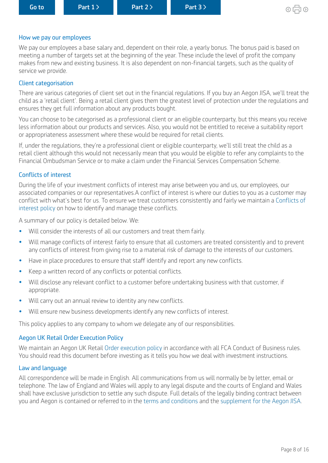#### How we pay our employees

We pay our employees a base salary and, dependent on their role, a yearly bonus. The bonus paid is based on meeting a number of targets set at the beginning of the year. These include the level of profit the company makes from new and existing business. It is also dependent on non-fnancial targets, such as the quality of service we provide.

#### Client categorisation

There are various categories of client set out in the financial regulations. If you buy an Aegon JISA, we'll treat the child as a 'retail client'. Being a retail client gives them the greatest level of protection under the regulations and ensures they get full information about any products bought.

You can choose to be categorised as a professional client or an eligible counterparty, but this means you receive less information about our products and services. Also, you would not be entitled to receive a suitability report or appropriateness assessment where these would be required for retail clients.

If, under the regulations, they're a professional client or eligible counterparty, we'll still treat the child as a retail client although this would not necessarily mean that you would be eligible to refer any complaints to the Financial Ombudsman Service or to make a claim under the Financial Services Compensation Scheme.

#### Conficts of interest

During the life of your investment conficts of interest may arise between you and us, our employees, our associated companies or our representatives. A conflict of interest is where our duties to you as a customer may confict with what's best for us. To ensure we treat customers consistently and fairly we maintain a [Conflicts of](https://www.aegon.co.uk/content/dam/ukpaw/documents/conflicts-of-interest-policy.pdf)  [interest policy](https://www.aegon.co.uk/content/dam/ukpaw/documents/conflicts-of-interest-policy.pdf) on how to identify and manage these conficts.

A summary of our policy is detailed below. We:

- Will consider the interests of all our customers and treat them fairly.
- Will manage conficts of interest fairly to ensure that all customers are treated consistently and to prevent any conflicts of interest from giving rise to a material risk of damage to the interests of our customers.
- Have in place procedures to ensure that staff identify and report any new conflicts.
- Keep a written record of any conficts or potential conficts.
- Will disclose any relevant confict to a customer before undertaking business with that customer, if appropriate.
- Will carry out an annual review to identity any new conficts.
- Will ensure new business developments identify any new conficts of interest.

This policy applies to any company to whom we delegate any of our responsibilities.

#### Aegon UK Retail Order Execution Policy

We maintain an Aegon UK Retail [Order execution policy](https://customerdashboard.aegon.co.uk/content/dam/common/documents/order-execution-policy-summary-aegon-uk-retail.pdf) in accordance with all FCA Conduct of Business rules. You should read this document before investing as it tells you how we deal with investment instructions.

#### Law and language

All correspondence will be made in English. All communications from us will normally be by letter, email or telephone. The law of England and Wales will apply to any legal dispute and the courts of England and Wales shall have exclusive jurisdiction to settle any such dispute. Full details of the legally binding contract between you and Aegon is contained or referred to in the [terms and conditions](https://customerdashboard.aegon.co.uk/content/dam/documents/aegon-platform-terms-and-conditions.pdf) and the [supplement for the Aegon JISA.](https://intermediary.aegon.co.uk/content/dam/common/documents/jisa-supplement.pdf )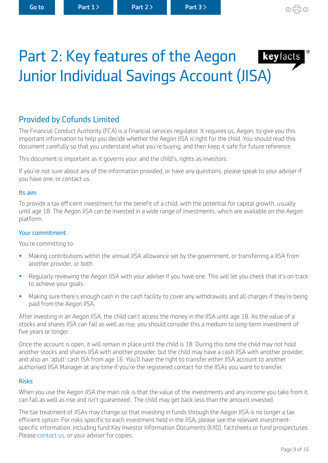## <span id="page-8-0"></span>Part 2: Key features of the Aegon keyfacts Junior Individual Savings Account (JISA)

## Provided by Cofunds Limited

The Financial Conduct Authority (FCA) is a fnancial services regulator. It requires us, Aegon, to give you this important information to help you decide whether the Aegon JISA is right for the child. You should read this document carefully so that you understand what you're buying, and then keep it safe for future reference.

This document is important as it governs your, and the child's, rights as investors.

If you're not sure about any of the information provided, or have any questions, please speak to your adviser if you have one, or contact us.

#### Its aim

To provide a tax efficient investment for the benefit of a child, with the potential for capital growth, usually until age 18. The Aegon JISA can be invested in a wide range of investments, which are available on the Aegon platform.

#### Your commitment

You're committing to:

- Making contributions within the annual JISA allowance set by the government, or transferring a JISA from another provider, or both.
- Regularly reviewing the Aegon JISA with your adviser if you have one. This will let you check that it's on track to achieve your goals.
- Making sure there's enough cash in the cash facility to cover any withdrawals and all charges if they're being paid from the Aegon JISA.

After investing in an Aegon JISA, the child can't access the money in the JISA until age 18. As the value of a stocks and shares JISA can fall as well as rise, you should consider this a medium to long-term investment of five years or longer.

Once the account is open, it will remain in place until the child is 18. During this time the child may not hold another stocks and shares JISA with another provider, but the child may have a cash JISA with another provider, and also an 'adult' cash ISA from age 16. You'll have the right to transfer either JISA account to another authorised JISA Manager at any time if you're the registered contact for the JISAs you want to transfer.

#### Risks

When you use the Aegon JISA the main risk is that the value of the investments and any income you take from it can fall as well as rise and isn't guaranteed.. The child may get back less than the amount invested.

The tax treatment of JISAs may change so that investing in funds through the Aegon JISA is no longer a tax efficient option. For risks specific to each investment held in the JISA, please see the relevant investmentspecific information, including fund Key Investor Information Documents (KIID), factsheets or fund prospectuses. Please [contact us,](http://aegon.co.uk/support.html) or your adviser for copies.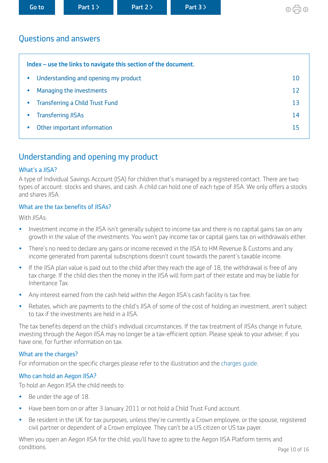<span id="page-9-0"></span>

## Questions and answers

| Index – use the links to navigate this section of the document. |    |
|-----------------------------------------------------------------|----|
| Understanding and opening my product<br>$\bullet$               | 10 |
| Managing the investments                                        | 12 |
| <b>Transferring a Child Trust Fund</b>                          | 13 |
| <b>Transferring JISAs</b>                                       | 14 |
| Other important information                                     | 15 |

## Understanding and opening my product

#### What's a JISA?

A type of Individual Savings Account (ISA) for children that's managed by a registered contact. There are two types of account: stocks and shares, and cash. A child can hold one of each type of JISA. We only ofers a stocks and shares JISA.

#### What are the tax benefits of JISAs?

With JISAs:

- Investment income in the JISA isn't generally subject to income tax and there is no capital gains tax on any growth in the value of the investments. You won't pay income tax or capital gains tax on withdrawals either.
- There's no need to declare any gains or income received in the JISA to HM Revenue & Customs and any income generated from parental subscriptions doesn't count towards the parent's taxable income.
- If the JISA plan value is paid out to the child after they reach the age of 18, the withdrawal is free of any tax charge. If the child dies then the money in the JISA will form part of their estate and may be liable for Inheritance Tax.
- Any interest earned from the cash held within the Aegon JISA's cash facility is tax free.
- Rebates, which are payments to the child's JISA of some of the cost of holding an investment, aren't subject to tax if the investments are held in a JISA.

The tax benefits depend on the child's individual circumstances. If the tax treatment of JISAs change in future, investing through the Aegon JISA may no longer be a tax-efficient option. Please speak to your adviser, if you have one, for further information on tax.

#### What are the charges?

For information on the specific charges please refer to the illustration and the charges quide.

#### Who can hold an Aegon JISA?

To hold an Aegon JISA the child needs to:

- Be under the age of 18.
- Have been born on or after 3 January 2011 or not hold a Child Trust Fund account.
- Be resident in the UK for tax purposes, unless they're currently a Crown employee, or the spouse, registered civil partner or dependent of a Crown employee. They can't be a US citizen or US tax payer.

When you open an Aegon JISA for the child, you'll have to agree to the Aegon JISA Platform terms and conditions. Page 10 of 16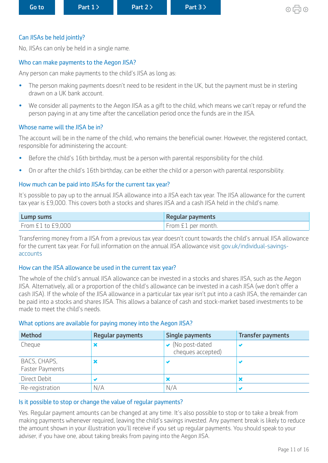#### Can JISAs be held jointly?

No, JISAs can only be held in a single name.

#### Who can make payments to the Aegon JISA?

Any person can make payments to the child's JISA as long as:

- The person making payments doesn't need to be resident in the UK, but the payment must be in sterling drawn on a UK bank account.
- We consider all payments to the Aegon JISA as a gift to the child, which means we can't repay or refund the person paying in at any time after the cancellation period once the funds are in the JISA.

#### Whose name will the JISA be in?

The account will be in the name of the child, who remains the beneficial owner. However, the registered contact, responsible for administering the account:

- Before the child's 16th birthday, must be a person with parental responsibility for the child.
- On or after the child's 16th birthday, can be either the child or a person with parental responsibility.

#### How much can be paid into JISAs for the current tax year?

It's possible to pay up to the annual JISA allowance into a JISA each tax year. The JISA allowance for the current tax year is £9,000. This covers both a stocks and shares JISA and a cash JISA held in the child's name.

| <b>Lump sums</b>  | <b>Regular payments</b> |
|-------------------|-------------------------|
| From £1 to £9,000 | From £1 per month.      |

Transferring money from a JISA from a previous tax year doesn't count towards the child's annual JISA allowance for the current tax year. For full information on the annual JISA allowance visit [gov.uk/individual-savings](http://www.gov.uk/individual-savings-accounts)[accounts](http://www.gov.uk/individual-savings-accounts)

#### How can the JISA allowance be used in the current tax year?

The whole of the child's annual JISA allowance can be invested in a stocks and shares JISA, such as the Aegon JISA. Alternatively, all or a proportion of the child's allowance can be invested in a cash JISA (we don't ofer a cash JISA). If the whole of the JISA allowance in a particular tax year isn't put into a cash JISA, the remainder can be paid into a stocks and shares JISA. This allows a balance of cash and stock-market based investments to be made to meet the child's needs.

#### What options are available for paying money into the Aegon JISA?

| <b>Method</b>                          | <b>Regular payments</b> | Single payments                                           | <b>Transfer payments</b> |
|----------------------------------------|-------------------------|-----------------------------------------------------------|--------------------------|
| Cheque                                 |                         | $\blacktriangleright$ (No post-dated<br>cheques accepted) |                          |
| BACS, CHAPS,<br><b>Faster Payments</b> |                         |                                                           |                          |
| Direct Debit                           |                         | ×                                                         |                          |
| Re-registration                        | N/A                     | N/A                                                       |                          |

#### Is it possible to stop or change the value of regular payments?

Yes. Regular payment amounts can be changed at any time. It's also possible to stop or to take a break from making payments whenever required, leaving the child's savings invested. Any payment break is likely to reduce the amount shown in your illustration you'll receive if you set up regular payments. You should speak to your adviser, if you have one, about taking breaks from paying into the Aegon JISA.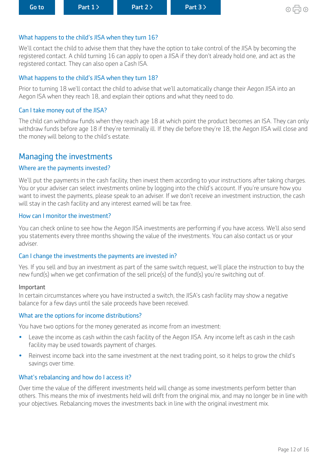#### <span id="page-11-0"></span>What happens to the child's JISA when they turn 16?

We'll contact the child to advise them that they have the option to take control of the JISA by becoming the registered contact. A child turning 16 can apply to open a JISA if they don't already hold one, and act as the registered contact. They can also open a Cash ISA.

#### What happens to the child's JISA when they turn 18?

Prior to turning 18 we'll contact the child to advise that we'll automatically change their Aegon JISA into an Aegon ISA when they reach 18, and explain their options and what they need to do.

### Can I take money out of the JISA?

The child can withdraw funds when they reach age 18 at which point the product becomes an ISA. They can only withdraw funds before age 18 if they're terminally ill. If they die before they're 18, the Aegon JISA will close and the money will belong to the child's estate.

## Managing the investments

#### Where are the payments invested?

We'll put the payments in the cash facility, then invest them according to your instructions after taking charges. You or your adviser can select investments online by logging into the child's account. If you're unsure how you want to invest the payments, please speak to an adviser. If we don't receive an investment instruction, the cash will stay in the cash facility and any interest earned will be tax free.

#### How can I monitor the investment?

You can check online to see how the Aegon JISA investments are performing if you have access. We'll also send you statements every three months showing the value of the investments. You can also contact us or your adviser.

#### Can I change the investments the payments are invested in?

Yes. If you sell and buy an investment as part of the same switch request, we'll place the instruction to buy the new fund(s) when we get confrmation of the sell price(s) of the fund(s) you're switching out of.

#### Important

In certain circumstances where you have instructed a switch, the JISA's cash facility may show a negative balance for a few days until the sale proceeds have been received.

#### What are the options for income distributions?

You have two options for the money generated as income from an investment:

- Leave the income as cash within the cash facility of the Aegon JISA. Any income left as cash in the cash facility may be used towards payment of charges.
- Reinvest income back into the same investment at the next trading point, so it helps to grow the child's savings over time.

#### What's rebalancing and how do I access it?

Over time the value of the diferent investments held will change as some investments perform better than others. This means the mix of investments held will drift from the original mix, and may no longer be in line with your objectives. Rebalancing moves the investments back in line with the original investment mix.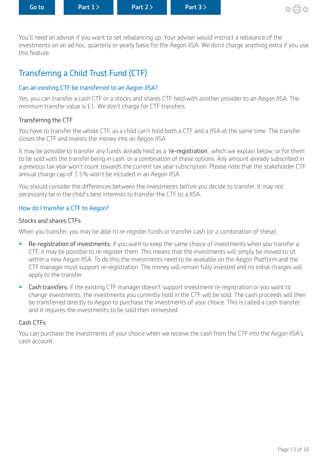<span id="page-12-0"></span>You'll need an adviser if you want to set rebalancing up. Your adviser would instruct a rebalance of the investments on an ad hoc, quarterly or yearly basis for the Aegon JISA. We don't charge anything extra if you use this feature.

## Transferring a Child Trust Fund (CTF)

#### Can an existing CTF be transferred to an Aegon JISA?

Yes, you can transfer a cash CTF or a stocks and shares CTF held with another provider to an Aegon JISA. The minimum transfer value is £1. We don't charge for CTF transfers.

#### Transferring the CTF

You have to transfer the whole CTF, as a child can't hold both a CTF and a JISA at the same time. The transfer closes the CTF and invests the money into an Aegon JISA.

It may be possible to transfer any funds already held as a 're-registration', which we explain below, or for them to be sold with the transfer being in cash, or a combination of these options. Any amount already subscribed in a previous tax year won't count towards the current tax year subscription. Please note that the stakeholder CTF annual charge cap of 1.5% won't be included in an Aegon JISA.

You should consider the diferences between the investments before you decide to transfer. It may not necessarily be in the child's best interests to transfer the CTF to a JISA.

#### How do I transfer a CTF to Aegon?

#### Stocks and shares CTFs

When you transfer, you may be able to re-register funds or transfer cash (or a combination of these).

- Re-registration of investments: if you want to keep the same choice of investments when you transfer a CTF, it may be possible to re-register them. This means that the investments will simply be moved to sit within a new Aegon JISA. To do this the investments need to be available on the Aegon Platform and the CTF manager must support re-registration. The money will remain fully invested and no initial charges will apply to the transfer.
- Cash transfers: if the existing CTF manager doesn't support investment re-registration or you want to change investments, the investments you currently hold in the CTF will be sold. The cash proceeds will then be transferred directly to Aegon to purchase the investments of your choice. This is called a cash transfer, and it requires the investments to be sold then reinvested.

#### Cash CTFs

You can purchase the investments of your choice when we receive the cash from the CTF into the Aegon JISA's cash account.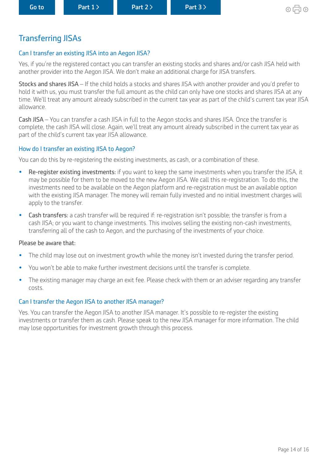## <span id="page-13-0"></span>Transferring JISAs

#### Can I transfer an existing JISA into an Aegon JISA?

Yes, if you're the registered contact you can transfer an existing stocks and shares and/or cash JISA held with another provider into the Aegon JISA. We don't make an additional charge for JISA transfers.

Stocks and shares JISA – If the child holds a stocks and shares JISA with another provider and you'd prefer to hold it with us, you must transfer the full amount as the child can only have one stocks and shares JISA at any time. We'll treat any amount already subscribed in the current tax year as part of the child's current tax year JISA allowance.

Cash JISA – You can transfer a cash JISA in full to the Aegon stocks and shares JISA. Once the transfer is complete, the cash JISA will close. Again, we'll treat any amount already subscribed in the current tax year as part of the child's current tax year JISA allowance.

#### How do I transfer an existing JISA to Aegon?

You can do this by re-registering the existing investments, as cash, or a combination of these.

- Re-register existing investments: if you want to keep the same investments when you transfer the JISA, it may be possible for them to be moved to the new Aegon JISA. We call this re-registration. To do this, the investments need to be available on the Aegon platform and re-registration must be an available option with the existing JISA manager. The money will remain fully invested and no initial investment charges will apply to the transfer.
- Cash transfers: a cash transfer will be required if: re-registration isn't possible; the transfer is from a cash JISA; or you want to change investments. This involves selling the existing non-cash investments, transferring all of the cash to Aegon, and the purchasing of the investments of your choice.

#### Please be aware that:

- The child may lose out on investment growth while the money isn't invested during the transfer period.
- You won't be able to make further investment decisions until the transfer is complete.
- The existing manager may charge an exit fee. Please check with them or an adviser regarding any transfer costs.

#### Can I transfer the Aegon JISA to another JISA manager?

Yes. You can transfer the Aegon JISA to another JISA manager. It's possible to re-register the existing investments or transfer them as cash. Please speak to the new JISA manager for more information. The child may lose opportunities for investment growth through this process.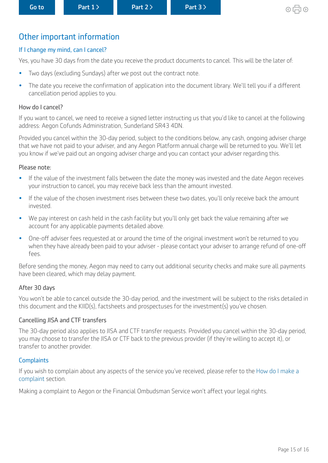## <span id="page-14-0"></span>Other important information

#### If I change my mind, can I cancel?

Yes, you have 30 days from the date you receive the product documents to cancel. This will be the later of:

- Two days (excluding Sundays) after we post out the contract note.
- The date you receive the confrmation of application into the document library. We'll tell you if a diferent cancellation period applies to you.

#### How do I cancel?

If you want to cancel, we need to receive a signed letter instructing us that you'd like to cancel at the following address: Aegon Cofunds Administration, Sunderland SR43 4DN.

Provided you cancel within the 30-day period, subject to the conditions below, any cash, ongoing adviser charge that we have not paid to your adviser, and any Aegon Platform annual charge will be returned to you. We'll let you know if we've paid out an ongoing adviser charge and you can contact your adviser regarding this.

#### Please note:

- If the value of the investment falls between the date the money was invested and the date Aegon receives your instruction to cancel, you may receive back less than the amount invested.
- If the value of the chosen investment rises between these two dates, you'll only receive back the amount invested.
- We pay interest on cash held in the cash facility but you'll only get back the value remaining after we account for any applicable payments detailed above.
- One-off adviser fees requested at or around the time of the original investment won't be returned to you when they have already been paid to your adviser - please contact your adviser to arrange refund of one-off fees.

Before sending the money, Aegon may need to carry out additional security checks and make sure all payments have been cleared, which may delay payment.

#### After 30 days

You won't be able to cancel outside the 30-day period, and the investment will be subject to the risks detailed in this document and the KIID(s), factsheets and prospectuses for the investment(s) you've chosen.

#### Cancelling JISA and CTF transfers

The 30-day period also applies to JISA and CTF transfer requests. Provided you cancel within the 30-day period, you may choose to transfer the JISA or CTF back to the previous provider (if they're willing to accept it), or transfer to another provider.

#### **Complaints**

If you wish to complain about any aspects of the service you've received, please refer to the [How do I make a](#page-6-0)  [complaint](#page-6-0) section.

Making a complaint to Aegon or the Financial Ombudsman Service won't affect your legal rights.